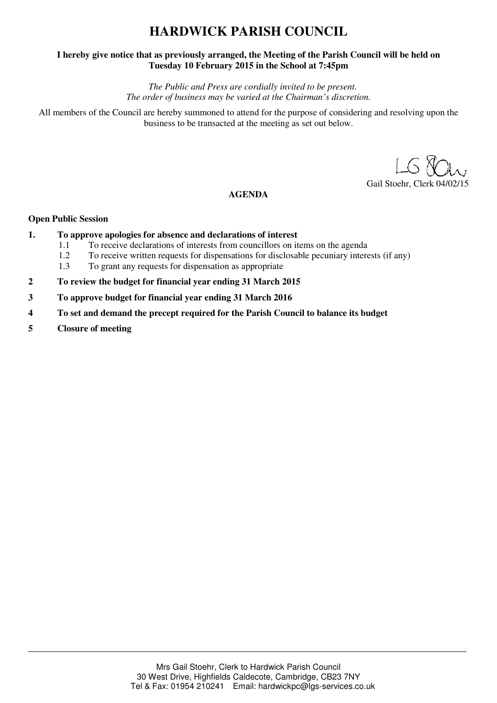# **HARDWICK PARISH COUNCIL**

### **I hereby give notice that as previously arranged, the Meeting of the Parish Council will be held on Tuesday 10 February 2015 in the School at 7:45pm**

*The Public and Press are cordially invited to be present. The order of business may be varied at the Chairman's discretion.* 

All members of the Council are hereby summoned to attend for the purpose of considering and resolving upon the business to be transacted at the meeting as set out below.

Gail Stoehr, Clerk 04/02/15

## **AGENDA**

### **Open Public Session**

- **1. To approve apologies for absence and declarations of interest 11 To receive declarations of interests from councillors on it.** 
	- 1.1 To receive declarations of interests from councillors on items on the agenda
	- 1.2 To receive written requests for dispensations for disclosable pecuniary interests (if any)
	- 1.3 To grant any requests for dispensation as appropriate
- **2 To review the budget for financial year ending 31 March 2015**
- **3 To approve budget for financial year ending 31 March 2016**
- **4 To set and demand the precept required for the Parish Council to balance its budget**
- **5 Closure of meeting**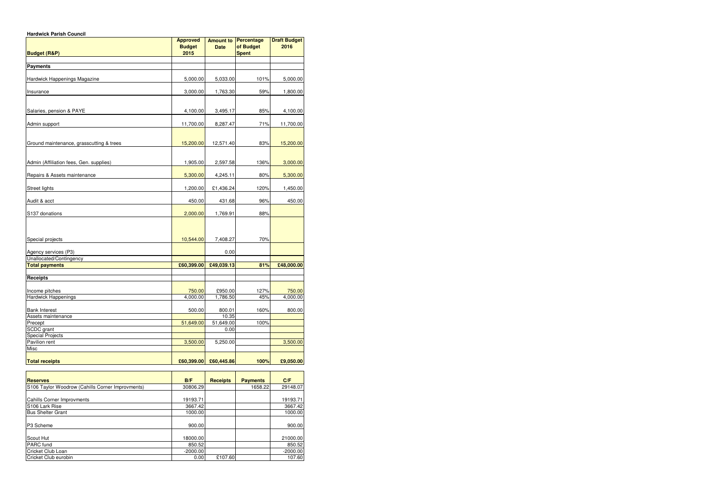| <b>Hardwick Parish Council</b>                  |                                          |                                 |                                         |                             |
|-------------------------------------------------|------------------------------------------|---------------------------------|-----------------------------------------|-----------------------------|
| <b>Budget (R&amp;P)</b>                         | <b>Approved</b><br><b>Budget</b><br>2015 | <b>Amount to</b><br><b>Date</b> | Percentage<br>of Budget<br><b>Spent</b> | <b>Draft Budget</b><br>2016 |
|                                                 |                                          |                                 |                                         |                             |
| <b>Payments</b>                                 |                                          |                                 |                                         |                             |
| Hardwick Happenings Magazine                    | 5,000.00                                 | 5,033.00                        | 101%                                    | 5,000.00                    |
| Insurance                                       | 3,000.00                                 | 1,763.30                        | 59%                                     | 1,800.00                    |
| Salaries, pension & PAYE                        | 4,100.00                                 | 3,495.17                        | 85%                                     | 4,100.00                    |
| Admin support                                   | 11,700.00                                | 8,287.47                        | 71%                                     | 11,700.00                   |
| Ground maintenance, grasscutting & trees        | 15,200.00                                | 12,571.40                       | 83%                                     | 15,200.00                   |
|                                                 |                                          |                                 |                                         |                             |
| Admin (Affiliation fees, Gen. supplies)         | 1,905.00                                 | 2,597.58                        | 136%                                    | 3,000.00                    |
| Repairs & Assets maintenance                    | 5,300.00                                 | 4,245.11                        | 80%                                     | 5,300.00                    |
| <b>Street lights</b>                            | 1,200.00                                 | £1,436.24                       | 120%                                    | 1,450.00                    |
| Audit & acct                                    | 450.00                                   | 431.68                          | 96%                                     | 450.00                      |
| S137 donations                                  | 2,000.00                                 | 1,769.91                        | 88%                                     |                             |
|                                                 |                                          |                                 |                                         |                             |
| Special projects                                | 10,544.00                                | 7,408.27                        | 70%                                     |                             |
| Agency services (P3)<br>Unallocated/Contingency |                                          | 0.00                            |                                         |                             |
| <b>Total payments</b>                           | £60,399.00                               | £49,039.13                      | 81%                                     | £48,000.00                  |
|                                                 |                                          |                                 |                                         |                             |
| Receipts                                        |                                          |                                 |                                         |                             |
| Income pitches                                  | 750.00                                   | £950.00                         | 127%                                    | 750.00                      |
| Hardwick Happenings                             | 4,000.00                                 | 1,786.50                        | 45%                                     | 4,000.00                    |
| <b>Bank Interest</b>                            | 500.00                                   | 800.01                          | 160%                                    | 800.00                      |
| Assets maintenance                              |                                          | 10.35                           |                                         |                             |
| Precept                                         | 51,649.00                                | 51,649.00                       | 100%                                    |                             |
| SCDC grant                                      |                                          | 0.00                            |                                         |                             |
| <b>Special Projects</b>                         |                                          |                                 |                                         |                             |
| Pavilion rent<br>Misc                           | 3,500.00                                 | 5,250.00                        |                                         | 3,500.00                    |
|                                                 |                                          |                                 |                                         |                             |
| <b>Total receipts</b>                           | £60,399.00                               | £60,445.86                      | 100%                                    | £9,050.00                   |

| <b>Reserves</b>                                  | B/F        | <b>Receipts</b> | <b>Payments</b> | C/F        |
|--------------------------------------------------|------------|-----------------|-----------------|------------|
| S106 Taylor Woodrow (Cahills Corner Improvments) | 30806.29   |                 | 1658.22         | 29148.07   |
|                                                  |            |                 |                 |            |
| <b>Cahills Corner Improvments</b>                | 19193.71   |                 |                 | 19193.71   |
| S106 Lark Rise                                   | 3667.42    |                 |                 | 3667.42    |
| <b>Bus Shelter Grant</b>                         | 1000.00    |                 |                 | 1000.00    |
|                                                  |            |                 |                 |            |
| P3 Scheme                                        | 900.00     |                 |                 | 900.00     |
|                                                  |            |                 |                 |            |
| Scout Hut                                        | 18000.00   |                 |                 | 21000.00   |
| PARC fund                                        | 850.52     |                 |                 | 850.52     |
| Cricket Club Loan                                | $-2000.00$ |                 |                 | $-2000.00$ |
| Cricket Club eurobin                             | 0.00       | £107.60         |                 | 107.60     |